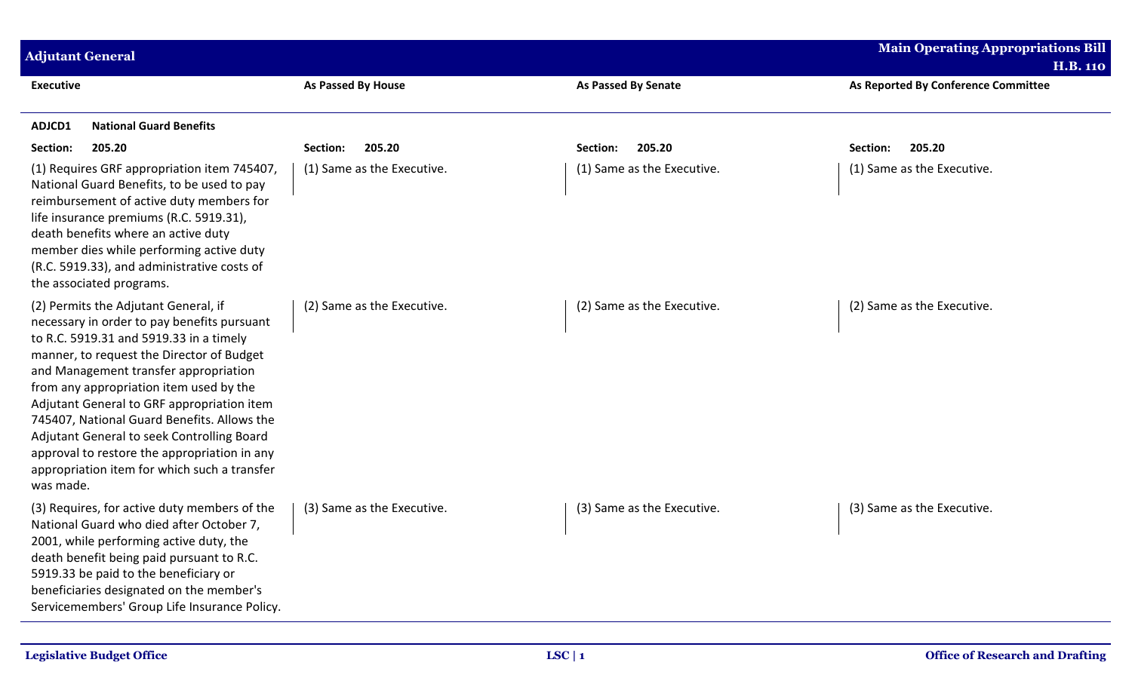| <b>Adjutant General</b>                                                                                                                                                                                                                                                                                                                                                                                                                                                                                                 |                            |                            | <b>Main Operating Appropriations Bill</b>              |
|-------------------------------------------------------------------------------------------------------------------------------------------------------------------------------------------------------------------------------------------------------------------------------------------------------------------------------------------------------------------------------------------------------------------------------------------------------------------------------------------------------------------------|----------------------------|----------------------------|--------------------------------------------------------|
|                                                                                                                                                                                                                                                                                                                                                                                                                                                                                                                         | As Passed By House         |                            | <b>H.B. 110</b><br>As Reported By Conference Committee |
| <b>Executive</b>                                                                                                                                                                                                                                                                                                                                                                                                                                                                                                        |                            | <b>As Passed By Senate</b> |                                                        |
| <b>National Guard Benefits</b><br>ADJCD1                                                                                                                                                                                                                                                                                                                                                                                                                                                                                |                            |                            |                                                        |
| 205.20<br>Section:                                                                                                                                                                                                                                                                                                                                                                                                                                                                                                      | 205.20<br>Section:         | 205.20<br>Section:         | Section:<br>205.20                                     |
| (1) Requires GRF appropriation item 745407,<br>National Guard Benefits, to be used to pay<br>reimbursement of active duty members for<br>life insurance premiums (R.C. 5919.31),<br>death benefits where an active duty<br>member dies while performing active duty<br>(R.C. 5919.33), and administrative costs of<br>the associated programs.                                                                                                                                                                          | (1) Same as the Executive. | (1) Same as the Executive. | (1) Same as the Executive.                             |
| (2) Permits the Adjutant General, if<br>necessary in order to pay benefits pursuant<br>to R.C. 5919.31 and 5919.33 in a timely<br>manner, to request the Director of Budget<br>and Management transfer appropriation<br>from any appropriation item used by the<br>Adjutant General to GRF appropriation item<br>745407, National Guard Benefits. Allows the<br>Adjutant General to seek Controlling Board<br>approval to restore the appropriation in any<br>appropriation item for which such a transfer<br>was made. | (2) Same as the Executive. | (2) Same as the Executive. | (2) Same as the Executive.                             |
| (3) Requires, for active duty members of the<br>National Guard who died after October 7,<br>2001, while performing active duty, the<br>death benefit being paid pursuant to R.C.<br>5919.33 be paid to the beneficiary or<br>beneficiaries designated on the member's<br>Servicemembers' Group Life Insurance Policy.                                                                                                                                                                                                   | (3) Same as the Executive. | (3) Same as the Executive. | (3) Same as the Executive.                             |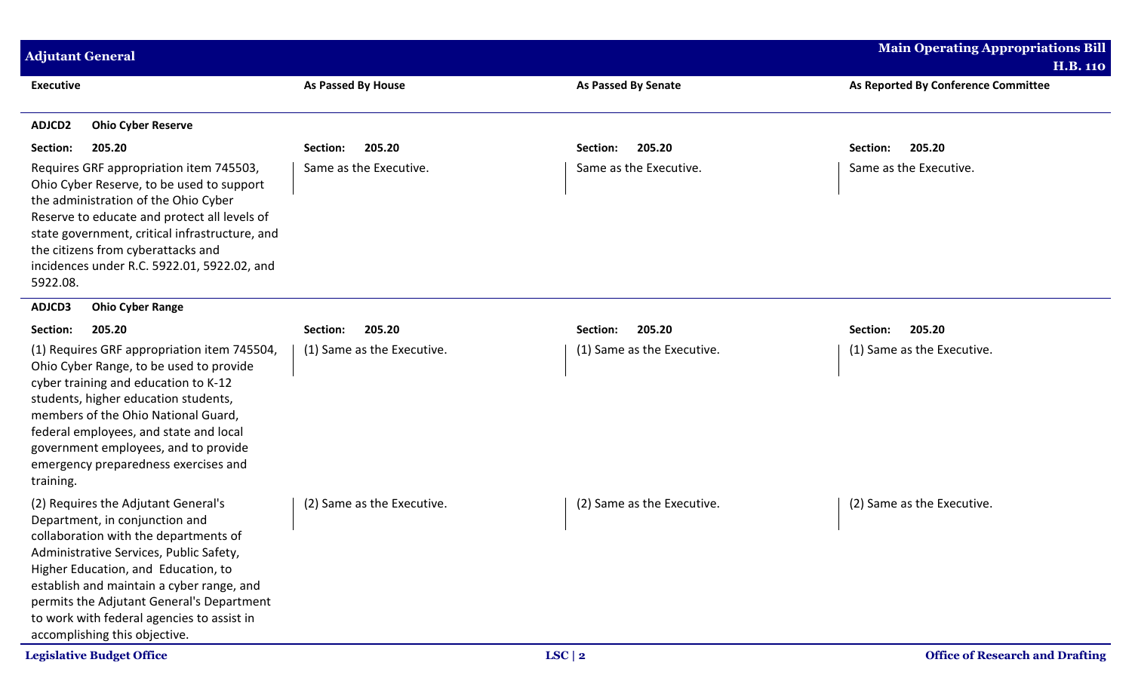| <b>Adjutant General</b>                                                                                                                                                                                                                                                                                                                                                   |                            |                            | <b>Main Operating Appropriations Bill</b><br><b>H.B. 110</b> |
|---------------------------------------------------------------------------------------------------------------------------------------------------------------------------------------------------------------------------------------------------------------------------------------------------------------------------------------------------------------------------|----------------------------|----------------------------|--------------------------------------------------------------|
| <b>Executive</b>                                                                                                                                                                                                                                                                                                                                                          | <b>As Passed By House</b>  | <b>As Passed By Senate</b> | As Reported By Conference Committee                          |
| ADJCD2<br><b>Ohio Cyber Reserve</b>                                                                                                                                                                                                                                                                                                                                       |                            |                            |                                                              |
| Section:<br>205.20                                                                                                                                                                                                                                                                                                                                                        | 205.20<br>Section:         | 205.20<br>Section:         | 205.20<br>Section:                                           |
| Requires GRF appropriation item 745503,<br>Ohio Cyber Reserve, to be used to support<br>the administration of the Ohio Cyber<br>Reserve to educate and protect all levels of<br>state government, critical infrastructure, and<br>the citizens from cyberattacks and<br>incidences under R.C. 5922.01, 5922.02, and<br>5922.08.                                           | Same as the Executive.     | Same as the Executive.     | Same as the Executive.                                       |
| ADJCD3<br><b>Ohio Cyber Range</b>                                                                                                                                                                                                                                                                                                                                         |                            |                            |                                                              |
| Section:<br>205.20                                                                                                                                                                                                                                                                                                                                                        | 205.20<br>Section:         | 205.20<br>Section:         | 205.20<br>Section:                                           |
| (1) Requires GRF appropriation item 745504,<br>Ohio Cyber Range, to be used to provide<br>cyber training and education to K-12<br>students, higher education students,<br>members of the Ohio National Guard,<br>federal employees, and state and local<br>government employees, and to provide<br>emergency preparedness exercises and<br>training.                      | (1) Same as the Executive. | (1) Same as the Executive. | (1) Same as the Executive.                                   |
| (2) Requires the Adjutant General's<br>Department, in conjunction and<br>collaboration with the departments of<br>Administrative Services, Public Safety,<br>Higher Education, and Education, to<br>establish and maintain a cyber range, and<br>permits the Adjutant General's Department<br>to work with federal agencies to assist in<br>accomplishing this objective. | (2) Same as the Executive. | (2) Same as the Executive. | (2) Same as the Executive.                                   |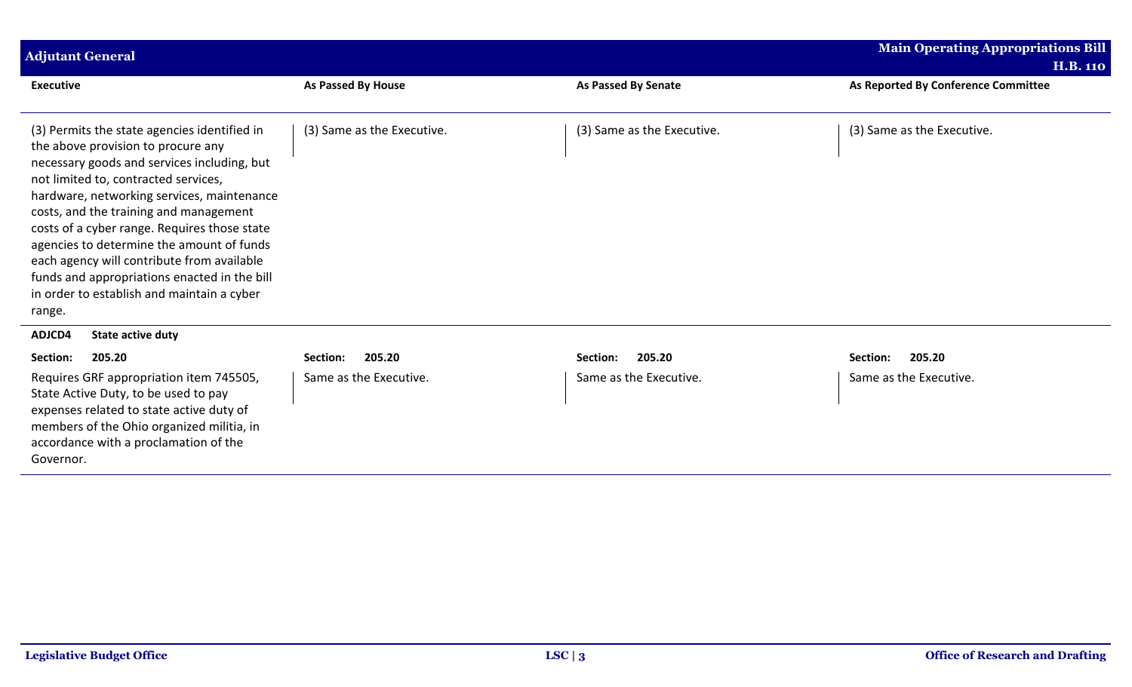| <b>Adjutant General</b>                                                                                                                                                                                                                                                                                                                                                                                                                                                                                              |                            |                            | <b>Main Operating Appropriations Bill</b> |
|----------------------------------------------------------------------------------------------------------------------------------------------------------------------------------------------------------------------------------------------------------------------------------------------------------------------------------------------------------------------------------------------------------------------------------------------------------------------------------------------------------------------|----------------------------|----------------------------|-------------------------------------------|
|                                                                                                                                                                                                                                                                                                                                                                                                                                                                                                                      |                            |                            | <b>H.B. 110</b>                           |
| <b>Executive</b>                                                                                                                                                                                                                                                                                                                                                                                                                                                                                                     | As Passed By House         | <b>As Passed By Senate</b> | As Reported By Conference Committee       |
| (3) Permits the state agencies identified in<br>the above provision to procure any<br>necessary goods and services including, but<br>not limited to, contracted services,<br>hardware, networking services, maintenance<br>costs, and the training and management<br>costs of a cyber range. Requires those state<br>agencies to determine the amount of funds<br>each agency will contribute from available<br>funds and appropriations enacted in the bill<br>in order to establish and maintain a cyber<br>range. | (3) Same as the Executive. | (3) Same as the Executive. | (3) Same as the Executive.                |
| ADJCD4<br><b>State active duty</b>                                                                                                                                                                                                                                                                                                                                                                                                                                                                                   |                            |                            |                                           |
| 205.20<br>Section:                                                                                                                                                                                                                                                                                                                                                                                                                                                                                                   | 205.20<br>Section:         | 205.20<br>Section:         | Section:<br>205.20                        |
| Requires GRF appropriation item 745505,<br>State Active Duty, to be used to pay<br>expenses related to state active duty of<br>members of the Ohio organized militia, in<br>accordance with a proclamation of the<br>Governor.                                                                                                                                                                                                                                                                                       | Same as the Executive.     | Same as the Executive.     | Same as the Executive.                    |